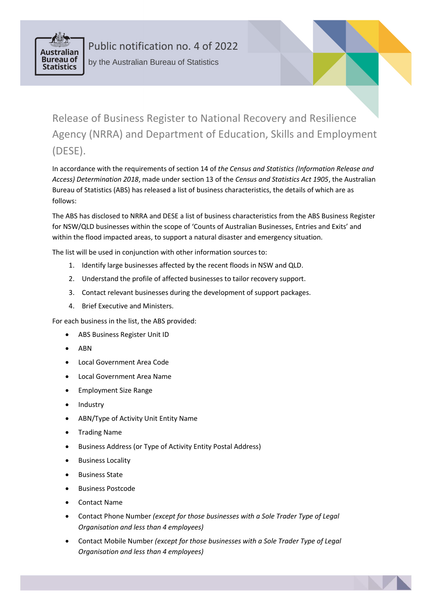

Public notification no. 4 of 2022 by the Australian Bureau of Statistics

Release of Business Register to National Recovery and Resilience Agency (NRRA) and Department of Education, Skills and Employment (DESE).

In accordance with the requirements of section 14 of *the Census and Statistics (Information Release and Access) Determination 2018*, made under section 13 of the *Census and Statistics Act 1905*, the Australian Bureau of Statistics (ABS) has released a list of business characteristics, the details of which are as follows:

The ABS has disclosed to NRRA and DESE a list of business characteristics from the ABS Business Register for NSW/QLD businesses within the scope of 'Counts of Australian Businesses, Entries and Exits' and within the flood impacted areas, to support a natural disaster and emergency situation.

The list will be used in conjunction with other information sources to:

- 1. Identify large businesses affected by the recent floods in NSW and QLD.
- 2. Understand the profile of affected businesses to tailor recovery support.
- 3. Contact relevant businesses during the development of support packages.
- 4. Brief Executive and Ministers.

For each business in the list, the ABS provided:

- ABS Business Register Unit ID
- ABN
- Local Government Area Code
- Local Government Area Name
- Employment Size Range
- Industry
- ABN/Type of Activity Unit Entity Name
- Trading Name
- Business Address (or Type of Activity Entity Postal Address)
- Business Locality
- Business State
- Business Postcode
- Contact Name
- Contact Phone Number *(except for those businesses with a Sole Trader Type of Legal Organisation and less than 4 employees)*
- Contact Mobile Number *(except for those businesses with a Sole Trader Type of Legal Organisation and less than 4 employees)*